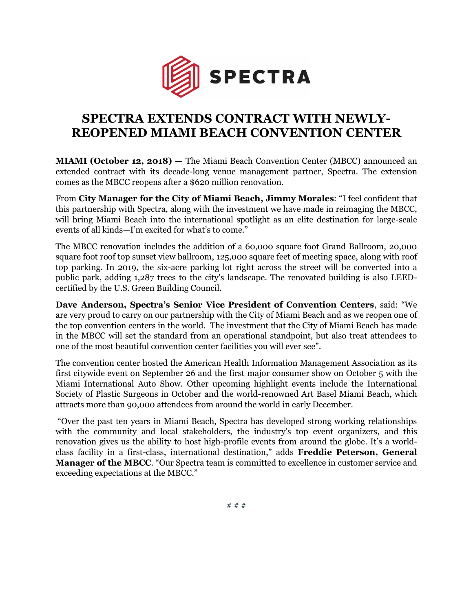

## **SPECTRA EXTENDS CONTRACT WITH NEWLY-REOPENED MIAMI BEACH CONVENTION CENTER**

**MIAMI (October 12, 2018) — The Miami Beach Convention Center (MBCC) announced an** extended contract with its decade-long venue management partner, Spectra. The extension comes as the MBCC reopens after a \$620 million renovation.

From **City Manager for the City of Miami Beach, Jimmy Morales**: "I feel confident that this partnership with Spectra, along with the investment we have made in reimaging the MBCC, will bring Miami Beach into the international spotlight as an elite destination for large-scale events of all kinds—I'm excited for what's to come."

The MBCC renovation includes the addition of a 60,000 square foot Grand Ballroom, 20,000 square foot roof top sunset view ballroom, 125,000 square feet of meeting space, along with roof top parking. In 2019, the six-acre parking lot right across the street will be converted into a public park, adding 1,287 trees to the city's landscape. The renovated building is also LEEDcertified by the U.S. Green Building Council.

**Dave Anderson, Spectra's Senior Vice President of Convention Centers**, said: "We are very proud to carry on our partnership with the City of Miami Beach and as we reopen one of the top convention centers in the world. The investment that the City of Miami Beach has made in the MBCC will set the standard from an operational standpoint, but also treat attendees to one of the most beautiful convention center facilities you will ever see".

The convention center hosted the American Health Information Management Association as its first citywide event on September 26 and the first major consumer show on October 5 with the Miami International Auto Show. Other upcoming highlight events include the International Society of Plastic Surgeons in October and the world-renowned Art Basel Miami Beach, which attracts more than 90,000 attendees from around the world in early December.

"Over the past ten years in Miami Beach, Spectra has developed strong working relationships with the community and local stakeholders, the industry's top event organizers, and this renovation gives us the ability to host high-profile events from around the globe. It's a worldclass facility in a first-class, international destination," adds **Freddie Peterson, General Manager of the MBCC**. "Our Spectra team is committed to excellence in customer service and exceeding expectations at the MBCC."

# # #